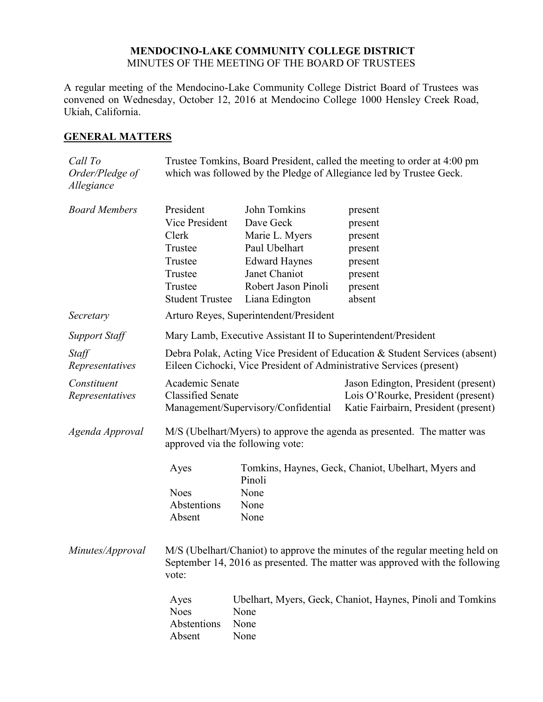#### **MENDOCINO-LAKE COMMUNITY COLLEGE DISTRICT** MINUTES OF THE MEETING OF THE BOARD OF TRUSTEES

A regular meeting of the Mendocino-Lake Community College District Board of Trustees was convened on Wednesday, October 12, 2016 at Mendocino College 1000 Hensley Creek Road, Ukiah, California.

## **GENERAL MATTERS**

| Call To<br>Order/Pledge of<br>Allegiance | Trustee Tomkins, Board President, called the meeting to order at 4:00 pm<br>which was followed by the Pledge of Allegiance led by Trustee Geck.                      |                                                                                                                                                |                                                                                                                   |  |
|------------------------------------------|----------------------------------------------------------------------------------------------------------------------------------------------------------------------|------------------------------------------------------------------------------------------------------------------------------------------------|-------------------------------------------------------------------------------------------------------------------|--|
| <b>Board Members</b>                     | President<br>Vice President<br>Clerk<br>Trustee<br>Trustee<br>Trustee<br>Trustee<br><b>Student Trustee</b>                                                           | John Tomkins<br>Dave Geck<br>Marie L. Myers<br>Paul Ubelhart<br><b>Edward Haynes</b><br>Janet Chaniot<br>Robert Jason Pinoli<br>Liana Edington | present<br>present<br>present<br>present<br>present<br>present<br>present<br>absent                               |  |
| Secretary                                |                                                                                                                                                                      | Arturo Reyes, Superintendent/President                                                                                                         |                                                                                                                   |  |
| <b>Support Staff</b>                     | Mary Lamb, Executive Assistant II to Superintendent/President                                                                                                        |                                                                                                                                                |                                                                                                                   |  |
| Staff<br>Representatives                 | Debra Polak, Acting Vice President of Education & Student Services (absent)<br>Eileen Cichocki, Vice President of Administrative Services (present)                  |                                                                                                                                                |                                                                                                                   |  |
| Constituent<br>Representatives           | Academic Senate<br><b>Classified Senate</b><br>Management/Supervisory/Confidential                                                                                   |                                                                                                                                                | Jason Edington, President (present)<br>Lois O'Rourke, President (present)<br>Katie Fairbairn, President (present) |  |
| Agenda Approval                          | M/S (Ubelhart/Myers) to approve the agenda as presented. The matter was<br>approved via the following vote:                                                          |                                                                                                                                                |                                                                                                                   |  |
|                                          | Ayes<br><b>Noes</b><br>Abstentions<br>Absent                                                                                                                         | Pinoli<br>None<br>None<br>None                                                                                                                 | Tomkins, Haynes, Geck, Chaniot, Ubelhart, Myers and                                                               |  |
| Minutes/Approval                         | M/S (Ubelhart/Chaniot) to approve the minutes of the regular meeting held on<br>September 14, 2016 as presented. The matter was approved with the following<br>vote: |                                                                                                                                                |                                                                                                                   |  |
|                                          | Ayes<br><b>Noes</b><br>Abstentions<br>Absent                                                                                                                         | None<br>None<br>None                                                                                                                           | Ubelhart, Myers, Geck, Chaniot, Haynes, Pinoli and Tomkins                                                        |  |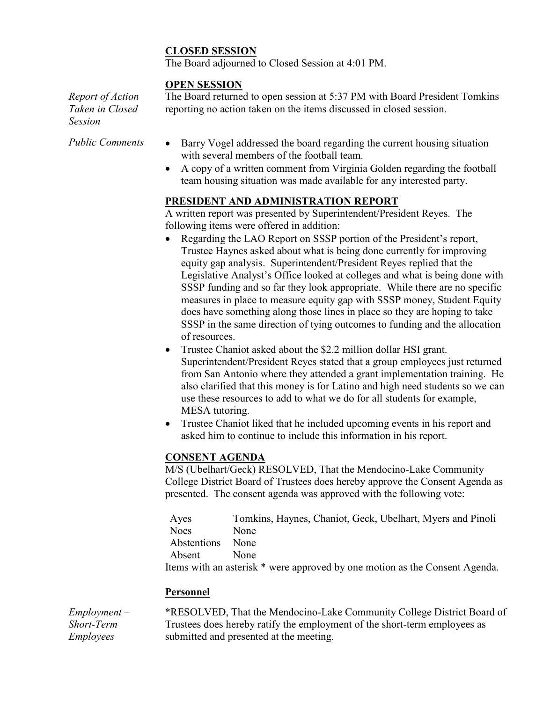# **CLOSED SESSION**

The Board adjourned to Closed Session at 4:01 PM.

### **OPEN SESSION**

*Report of Action Taken in Closed Session*

The Board returned to open session at 5:37 PM with Board President Tomkins reporting no action taken on the items discussed in closed session.

- *Public Comments* Barry Vogel addressed the board regarding the current housing situation with several members of the football team.
	- A copy of a written comment from Virginia Golden regarding the football team housing situation was made available for any interested party.

## **PRESIDENT AND ADMINISTRATION REPORT**

A written report was presented by Superintendent/President Reyes. The following items were offered in addition:

- Regarding the LAO Report on SSSP portion of the President's report, Trustee Haynes asked about what is being done currently for improving equity gap analysis. Superintendent/President Reyes replied that the Legislative Analyst's Office looked at colleges and what is being done with SSSP funding and so far they look appropriate. While there are no specific measures in place to measure equity gap with SSSP money, Student Equity does have something along those lines in place so they are hoping to take SSSP in the same direction of tying outcomes to funding and the allocation of resources.
- Trustee Chaniot asked about the \$2.2 million dollar HSI grant. Superintendent/President Reyes stated that a group employees just returned from San Antonio where they attended a grant implementation training. He also clarified that this money is for Latino and high need students so we can use these resources to add to what we do for all students for example, MESA tutoring.
- Trustee Chaniot liked that he included upcoming events in his report and asked him to continue to include this information in his report.

## **CONSENT AGENDA**

M/S (Ubelhart/Geck) RESOLVED, That the Mendocino-Lake Community College District Board of Trustees does hereby approve the Consent Agenda as presented. The consent agenda was approved with the following vote:

Ayes Tomkins, Haynes, Chaniot, Geck, Ubelhart, Myers and Pinoli Noes None Abstentions None Absent None Items with an asterisk \* were approved by one motion as the Consent Agenda.

## **Personnel**

*Employment – Short-Term Employees*

\*RESOLVED, That the Mendocino-Lake Community College District Board of Trustees does hereby ratify the employment of the short-term employees as submitted and presented at the meeting.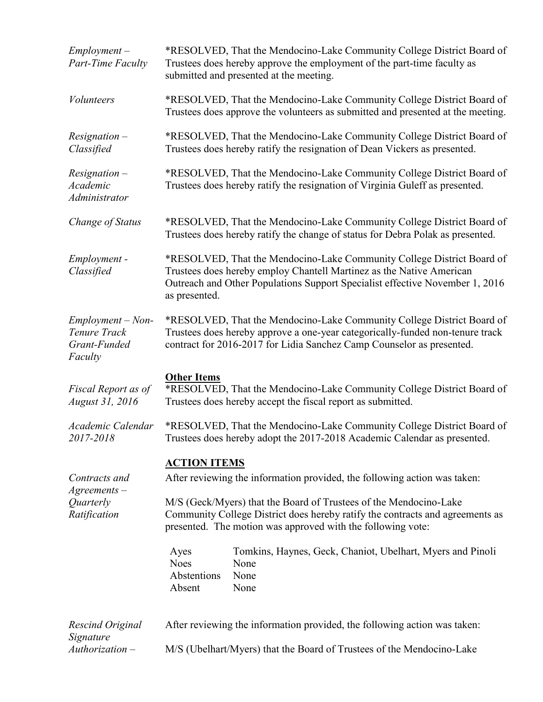| $Employment -$<br><b>Part-Time Faculty</b>                     | *RESOLVED, That the Mendocino-Lake Community College District Board of<br>Trustees does hereby approve the employment of the part-time faculty as<br>submitted and presented at the meeting.                                                    |  |  |
|----------------------------------------------------------------|-------------------------------------------------------------------------------------------------------------------------------------------------------------------------------------------------------------------------------------------------|--|--|
| <b>Volunteers</b>                                              | *RESOLVED, That the Mendocino-Lake Community College District Board of<br>Trustees does approve the volunteers as submitted and presented at the meeting.                                                                                       |  |  |
| $Resignation -$<br>Classified                                  | *RESOLVED, That the Mendocino-Lake Community College District Board of<br>Trustees does hereby ratify the resignation of Dean Vickers as presented.                                                                                             |  |  |
| $Resignation -$<br>Academic<br>Administrator                   | *RESOLVED, That the Mendocino-Lake Community College District Board of<br>Trustees does hereby ratify the resignation of Virginia Guleff as presented.                                                                                          |  |  |
| Change of Status                                               | *RESOLVED, That the Mendocino-Lake Community College District Board of<br>Trustees does hereby ratify the change of status for Debra Polak as presented.                                                                                        |  |  |
| Employment -<br>Classified                                     | *RESOLVED, That the Mendocino-Lake Community College District Board of<br>Trustees does hereby employ Chantell Martinez as the Native American<br>Outreach and Other Populations Support Specialist effective November 1, 2016<br>as presented. |  |  |
| $Employment - Non-$<br>Tenure Track<br>Grant-Funded<br>Faculty | *RESOLVED, That the Mendocino-Lake Community College District Board of<br>Trustees does hereby approve a one-year categorically-funded non-tenure track<br>contract for 2016-2017 for Lidia Sanchez Camp Counselor as presented.                |  |  |
| Fiscal Report as of<br>August 31, 2016                         | <b>Other Items</b><br>*RESOLVED, That the Mendocino-Lake Community College District Board of<br>Trustees does hereby accept the fiscal report as submitted.                                                                                     |  |  |
|                                                                |                                                                                                                                                                                                                                                 |  |  |
| Academic Calendar<br>2017-2018                                 | *RESOLVED, That the Mendocino-Lake Community College District Board of<br>Trustees does hereby adopt the 2017-2018 Academic Calendar as presented.                                                                                              |  |  |
|                                                                | <b>ACTION ITEMS</b>                                                                                                                                                                                                                             |  |  |
| Contracts and                                                  | After reviewing the information provided, the following action was taken:                                                                                                                                                                       |  |  |
| $A$ greements $-$<br>Quarterly<br>Ratification                 | M/S (Geck/Myers) that the Board of Trustees of the Mendocino-Lake<br>Community College District does hereby ratify the contracts and agreements as<br>presented. The motion was approved with the following vote:                               |  |  |
|                                                                | Tomkins, Haynes, Geck, Chaniot, Ubelhart, Myers and Pinoli<br>Ayes<br><b>Noes</b><br>None<br>Abstentions<br>None<br>Absent<br>None                                                                                                              |  |  |
| Rescind Original<br>Signature                                  | After reviewing the information provided, the following action was taken:                                                                                                                                                                       |  |  |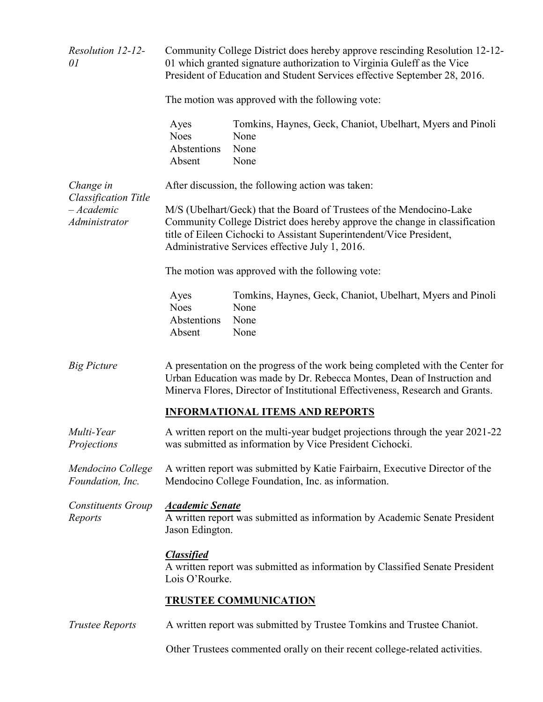| Resolution 12-12-<br>01                                                  | Community College District does hereby approve rescinding Resolution 12-12-<br>01 which granted signature authorization to Virginia Guleff as the Vice<br>President of Education and Student Services effective September 28, 2016.                                            |                                                                                    |  |  |
|--------------------------------------------------------------------------|--------------------------------------------------------------------------------------------------------------------------------------------------------------------------------------------------------------------------------------------------------------------------------|------------------------------------------------------------------------------------|--|--|
|                                                                          | The motion was approved with the following vote:                                                                                                                                                                                                                               |                                                                                    |  |  |
|                                                                          | Ayes<br><b>Noes</b><br>Abstentions<br>Absent                                                                                                                                                                                                                                   | Tomkins, Haynes, Geck, Chaniot, Ubelhart, Myers and Pinoli<br>None<br>None<br>None |  |  |
| Change in<br><b>Classification Title</b><br>$-Academic$<br>Administrator | After discussion, the following action was taken:                                                                                                                                                                                                                              |                                                                                    |  |  |
|                                                                          | M/S (Ubelhart/Geck) that the Board of Trustees of the Mendocino-Lake<br>Community College District does hereby approve the change in classification<br>title of Eileen Cichocki to Assistant Superintendent/Vice President,<br>Administrative Services effective July 1, 2016. |                                                                                    |  |  |
|                                                                          | The motion was approved with the following vote:                                                                                                                                                                                                                               |                                                                                    |  |  |
|                                                                          | Ayes<br><b>Noes</b><br>Abstentions<br>Absent                                                                                                                                                                                                                                   | Tomkins, Haynes, Geck, Chaniot, Ubelhart, Myers and Pinoli<br>None<br>None<br>None |  |  |
| <b>Big Picture</b>                                                       | A presentation on the progress of the work being completed with the Center for<br>Urban Education was made by Dr. Rebecca Montes, Dean of Instruction and<br>Minerva Flores, Director of Institutional Effectiveness, Research and Grants.                                     |                                                                                    |  |  |
|                                                                          |                                                                                                                                                                                                                                                                                | <b>INFORMATIONAL ITEMS AND REPORTS</b>                                             |  |  |
| Multi-Year<br>Projections                                                | A written report on the multi-year budget projections through the year 2021-22<br>was submitted as information by Vice President Cichocki.                                                                                                                                     |                                                                                    |  |  |
| Mendocino College<br>Foundation, Inc.                                    | A written report was submitted by Katie Fairbairn, Executive Director of the<br>Mendocino College Foundation, Inc. as information.                                                                                                                                             |                                                                                    |  |  |
| <b>Constituents Group</b><br>Reports                                     | <b>Academic Senate</b><br>Jason Edington.                                                                                                                                                                                                                                      | A written report was submitted as information by Academic Senate President         |  |  |
|                                                                          | <b>Classified</b><br>A written report was submitted as information by Classified Senate President<br>Lois O'Rourke.                                                                                                                                                            |                                                                                    |  |  |
|                                                                          | <b>TRUSTEE COMMUNICATION</b>                                                                                                                                                                                                                                                   |                                                                                    |  |  |
| <b>Trustee Reports</b>                                                   | A written report was submitted by Trustee Tomkins and Trustee Chaniot.                                                                                                                                                                                                         |                                                                                    |  |  |
|                                                                          | Other Trustees commented orally on their recent college-related activities.                                                                                                                                                                                                    |                                                                                    |  |  |